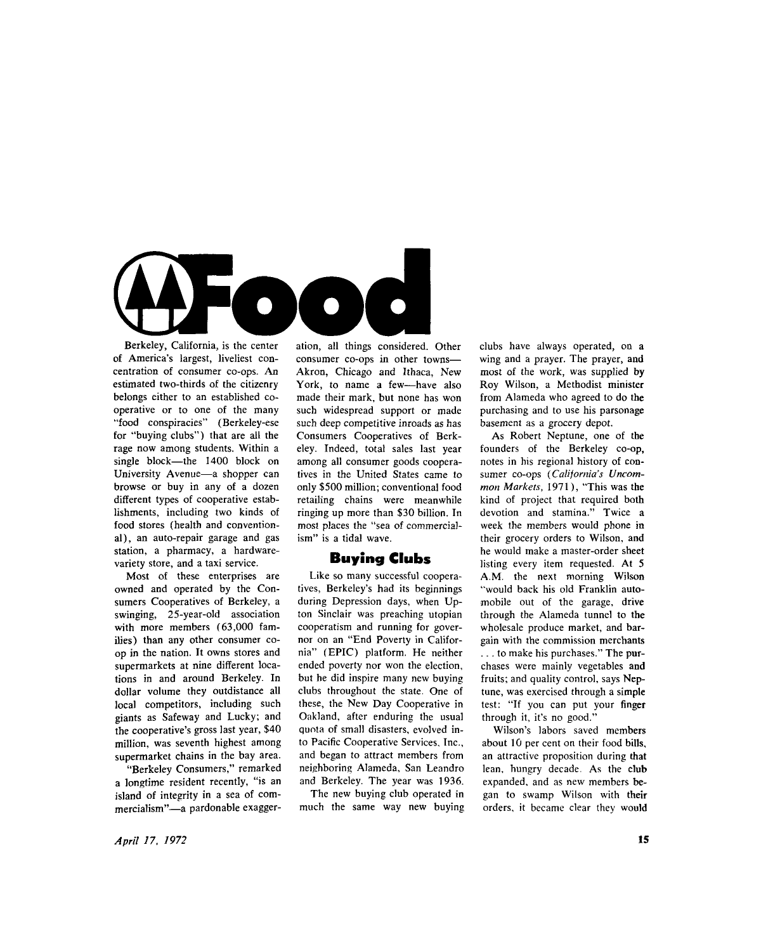

Berkeley, California, is the center of America's largest, liveliest concentration of consumer co-ops. An estimated two-thirds of the citizenry belongs either to an established cooperative or to one of the many "food conspiracies" (Berkeley-ese for "buying clubs") that are all the rage now among students. Within a single block—the 1400 block on University Avenue—a shopper can browse or buy in any of a dozen different types of cooperative establishments, including two kinds of food stores (health and conventional), an auto-repair garage and gas station, a pharmacy, a hardwarevariety store, and a taxi service.

Most of these enterprises are owned and operated by the Consumers Cooperatives of Berkeley, a swinging, 25-year-old association with more members (63,000 families) than any other consumer coop in the nation. It owns stores and supermarkets at nine different locations in and around Berkeley. In dollar volume they outdistance all local competitors, including such giants as Safeway and Lucky; and the cooperative's gross last year, \$40 million, was seventh highest among supermarket chains in the bay area.

"Berkeley Consumers," remarked a longtime resident recently, "is an island of integrity in a sea of commercialism"—a pardonable exaggeration, all things considered. Other consumer co-ops in other towns— Akron, Chicago and Ithaca, New York, to name a few—have also made their mark, but none has won such widespread support or made such deep competitive inroads as has Consumers Cooperatives of Berkeley. Indeed, total sales last year among all consumer goods cooperatives in the United States came to only \$500 million; conventional food retailing chains were meanwhile ringing up more than \$30 billion. In most places the "sea of commercialism" is a tidal wave.

## Buying Clubs

Like so many successful cooperatives, Berkeley's had its beginnings during Depression days, when Up ton Sinclair was preaching utopian cooperatism and running for governor on an "End Poverty in California" (EPIC) platform. He neither ended poverty nor won the election, but he did inspire many new buying clubs throughout the state. One of these, the New Day Cooperative in Oakland, after enduring the usual quota of small disasters, evolved into Pacific Cooperative Services, Inc., and began to attract members from neighboring Alameda, San Leandro and Berkeley. The year was 1936.

The new buying club operated in much the same way new buying clubs have always operated, on a wing and a prayer. The prayer, and most of the work, was supplied by Roy Wilson, a Methodist minister from Alameda who agreed to do the purchasing and to use his parsonage basement as a grocery depot.

As Robert Neptune, one of the founders of the Berkeley co-op, notes in his regional history of consumer co-ops *(California's Uncommon Markets,* 1971), "This was the kind of project that required both devotion and stamina." Twice a week the members would phone in their grocery orders to Wilson, and he would make a master-order sheet listing every item requested. At 5 A.M. the next morning Wilson "would back his old Franklin automobile out of the garage, drive through the Alameda tunnel to the wholesale produce market, and bargain with the commission merchants ... to make his purchases." The purchases were mainly vegetables and fruits; and quality control, says Neptune, was exercised through a simple test: "If you can put your finger through it, it's no good."

Wilson's labors saved members about 10 per cent on their food bills, an attractive proposition during that lean, hungry decade. As the club expanded, and as new members began to swamp Wilson with their orders, it became clear they would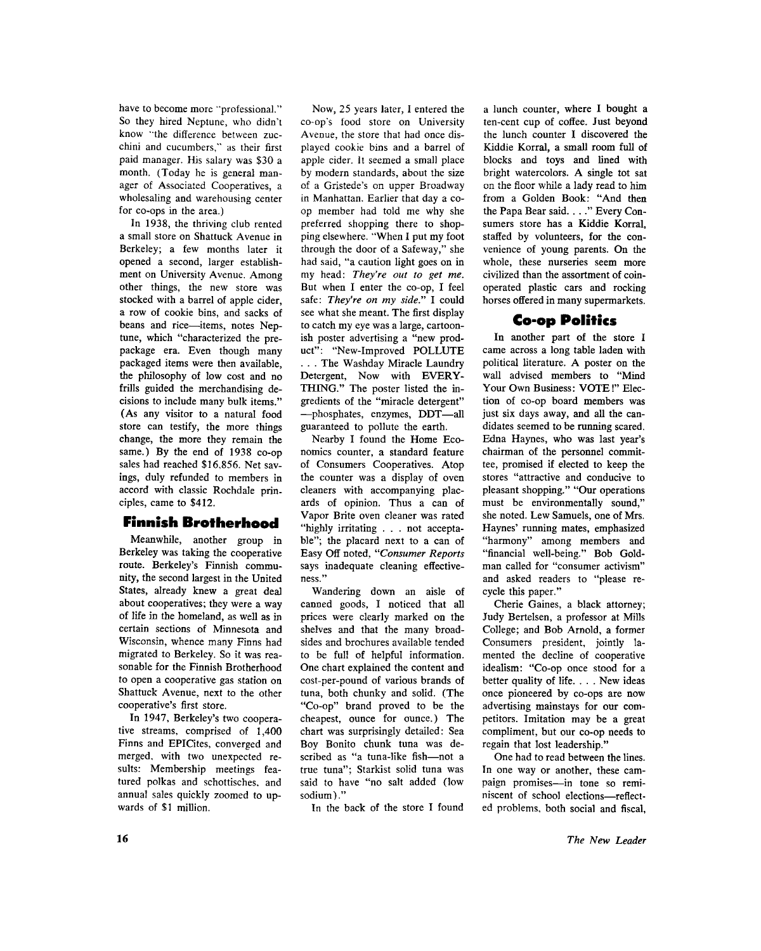have to become more "professional." So they hired Neptune, who didn't know "the difference between zucchini and cucumbers," as their first paid manager. His salary was \$30 a month. (Today he is general manager of Associated Cooperatives, a wholesaling and warehousing center for co-ops in the area.)

In 1938, the thriving club rented a small store on Shattuck Avenue in Berkeley; a few months later it opened a second, larger establishment on University Avenue. Among other things, the new store was stocked with a barrel of apple cider, a row of cookie bins, and sacks of beans and rice—items, notes Neptune, which "characterized the prepackage era. Even though many packaged items were then available, the philosophy of low cost and no frills guided the merchandising decisions to include many bulk items." (As any visitor to a natural food store can testify, the more things change, the more they remain the same.) By the end of 1938 co-op sales had reached \$16,856. Net savings, duly refunded to members in accord with classic Rochdale principles, came to \$412.

## **Finnish Brotherhood**

Meanwhile, another group in Berkeley was taking the cooperative route. Berkeley's Finnish community, the second largest in the United States, already knew a great deal about cooperatives; they were a way of life in the homeland, as well as in certain sections of Minnesota and Wisconsin, whence many Finns had migrated to Berkeley. So it was reasonable for the Finnish Brotherhood to open a cooperative gas station on Shattuck Avenue, next to the other cooperative's first store.

In 1947, Berkeley's two cooperative streams, comprised of 1,400 Finns and EPICites, converged and merged, with two unexpected results: Membership meetings featured polkas and schottisches, and annual sales quickly zoomed to upwards of \$1 million.

Now, 25 years later, I entered the co-op's food store on University Avenue, the store that had once displayed cookie bins and a barrel of apple cider. It seemed a small place by modern standards, about the size of a Gristede's on upper Broadway in Manhattan. Earlier that day a coop member had told me why she preferred shopping there to shopping elsewhere. "When I put my foot through the door of a Safeway," she had said, "a caution light goes on in my head: *They're out to get me.*  But when I enter the co-op, I feel safe: *They're on my side."* I could see what she meant. The first display to catch my eye was a large, cartoonish poster advertising a "new product": "New-Improved POLLUTE . . . The Washday Miracle Laundry Detergent, Now with EVERY-THING." The poster listed the ingredients of the "miracle detergent" —phosphates, enzymes, DDT—al l guaranteed to pollute the earth.

Nearby I found the Home Economics counter, a standard feature of Consumers Cooperatives. Atop the counter was a display of oven cleaners with accompanying placards of opinion. Thus a can of Vapor Brite oven cleaner was rated "highly irritating . . . not acceptable"; the placard next to a can of Easy Off noted, *"Consumer Reports*  says inadequate cleaning effectiveness."

Wandering down an aisle of canned goods, I noticed that all prices were clearly marked on the shelves and that the many broadsides and brochures available tended to be full of helpful information. One chart explained the content and cost-per-pound of various brands of tuna, both chunky and solid. (The "Co-op" brand proved to be the cheapest, ounce for ounce.) The chart was surprisingly detailed: Sea Boy Bonito chunk tuna was described as "a tuna-like fish—not a true tuna"; Starkist solid tuna was said to have "no salt added (low sodium)."

In the back of the store I found

a lunch counter, where I bought a ten-cent cup of coffee. Just beyond the lunch counter I discovered the Kiddie Korral, a small room full of blocks and toys and lined with bright watercolors. A single tot sat on the floor while a lady read to him from a Golden Book: "And then the Papa Bear said. . .. " Every Consumers store has a Kiddie Korral, staffed by volunteers, for the convenience of young parents. On the whole, these nurseries seem more civilized than the assortment of coinoperated plastic cars and rocking horses offered in many supermarkets.

# **Co-op Politics**

In another part of the store I came across a long table laden with political literature. A poster on the wall advised members to "Mind Your Own Business: VOTE!" Election of co-op board members was just six days away, and all the candidates seemed to be running scared. Edna Haynes, who was last year's chairman of the personnel committee, promised if elected to keep the stores "attractive and conducive to pleasant shopping." "Our operations must be environmentally sound," she noted. Lew Samuels, one of Mrs. Haynes' running mates, emphasized "harmony" among members and "financial well-being." Bob Goldman called for "consumer activism" and asked readers to "please recycle this paper."

Cherie Gaines, a black attorney; Judy Bertelsen, a professor at Mills College; and Bob Arnold, a former Consumers president, jointly lamented the decline of cooperative idealism: "Co-op once stood for a better quality of life. . . . New ideas once pioneered by co-ops are now advertising mainstays for our competitors. Imitation may be a great compliment, but our co-op needs to regain that lost leadership."

One had to read between the lines. In one way or another, these campaign promises—in tone so reminiscent of school elections—reflected problems, both social and fiscal,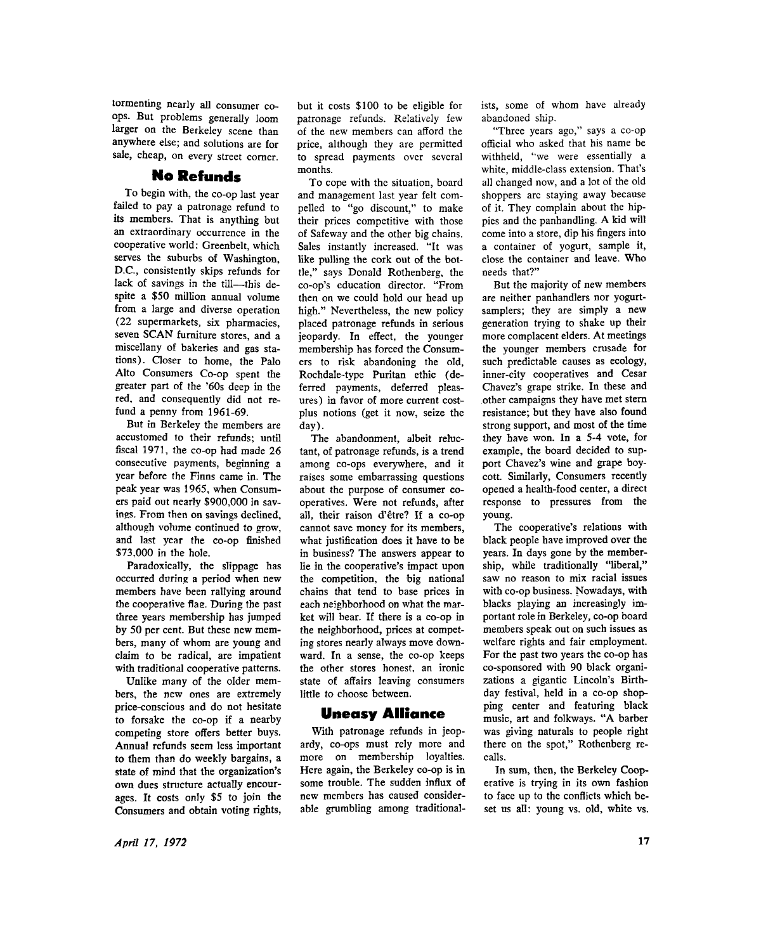tormenting nearly all consumer coops. But problems generally loom larger on the Berkeley scene than anywhere else; and solutions are for sale, cheap, on every street corner.

# No Refunds

To begin with, the co-op last year failed to pay a patronage refund to its members. That is anything but an extraordinary occurrence in the cooperative world: Greenbelt, which serves the suburbs of Washington, D.C. , consistently skips refunds for lack of savings in the till—this despite a \$50 million annual volume from a large and diverse operation (22 supermarkets, six pharmacies, seven SCAN furniture stores, and a miscellany of bakeries and gas stations). Closer to home, the Palo Alto Consumers Co-op spent the greater part of the '60s deep in the red, and consequently did not refund a penny from 1961-69.

But in Berkeley the members are accustomed to their refunds; until fiscal 1971, the co-op had made 26 consecutive payments, beginning a year before the Finns came in. The peak year was 1965, when Consumers paid out nearly \$900,000 in savings. From then on savings declined, although volume continued to grow, and last year the co-op finished \$73,000 in the hole.

Paradoxically, the slippage has occurred during a period when new members have been rallying around the cooperative flae. During the past three years membership has jumped by 50 per cent. But these new members, many of whom are young and claim to be radical, are impatient with traditional cooperative patterns.

Unlike many of the older members, the new ones are extremely price-conscious and do not hesitate to forsake the co-op if a nearby competing store offers better buys. Annual refunds seem less important to them than do weekly bargains, a state of mind that the organization's own dues structure actually encourages. It costs only \$5 to join the Consumers and obtain voting rights,

but it costs \$100 to be eligible for patronage refunds. Relatively few of the new members can afford the price, although they are permitted to spread payments over several months.

To cope with the situation, board and management last year felt compelled to "go discount," to make their prices competitive with those of Safeway and the other big chains. Sales instantly increased. "It was like pulling the cork out of the bottle," says Donald Rothenberg, the co-op's education director. "From then on we could hold our head up high." Nevertheless, the new policy placed patronage refunds in serious jeopardy. In effect, the younger membership has forced the Consumers to risk abandoning the old, Rochdale-type Puritan ethic (deferred payments, deferred pleasures) in favor of more current costplus notions (get it now, seize the day).

The abandonment, albeit reluctant, of patronage refunds, is a trend among co-ops everywhere, and it raises some embarrassing questions about the purpose of consumer cooperatives. Were not refunds, after all, their raison d'etre? If a co-op cannot save money for its members, what justification does it have to be in business? The answers appear to lie in the cooperative's impact upon the competition, the big national chains that tend to base prices in each neighborhood on what the market will bear. If there is a co-op in the neighborhood, prices at competing stores nearly always move downward. In a sense, the co-op keeps the other stores honest, an ironic state of affairs leaving consumers little to choose between.

## **Uneasy Alliance**

With patronage refunds in jeopardy, co-ops must rely more and more on membership loyalties. Here again, the Berkeley co-op is in some trouble. The sudden influx of new members has caused considerable grumbling among traditionalists, some of whom have already abandoned ship.

"Three years ago," says a co-op official who asked that his name be withheld, "we were essentially a white, middle-class extension. That's all changed now, and a lot of the old shoppers are staying away because of it. They complain about the hippies and the panhandling. A kid will come into a store, dip his fingers into a container of yogurt, sample it, close the container and leave. Who needs that?"

But the majority of new members are neither panhandlers nor yogurtsamplers; they are simply a new generation trying to shake up their more complacent elders. At meetings the younger members crusade for such predictable causes as ecology, inner-city cooperatives and Cesar Chavez's grape strike. In these and other campaigns they have met stem resistance; but they have also found strong support, and most of the time they have won. In a 5-4 vote, for example, the board decided to support Chavez's wine and grape boycott. Similarly, Consumers recently opened a health-food center, a direct response to pressures from the young.

The cooperative's relations with black people have improved over the years. In days gone by the membership, while traditionally "liberal," saw no reason to mix racial issues with co-op business. Nowadays, with blacks playing an increasingly important role in Berkeley, co-op board members speak out on such issues as welfare rights and fair employment. For the past two years the co-op has co-sponsored with 90 black organizations a gigantic Lincoln's Birthday festival, held in a co-op shopping center and featuring black music, art and folkways. "A barber was giving naturals to people right there on the spot," Rothenberg recalls.

In sum, then, the Berkeley Cooperative is trying in its own fashion to face up to the conflicts which beset us all: young vs. old, white vs.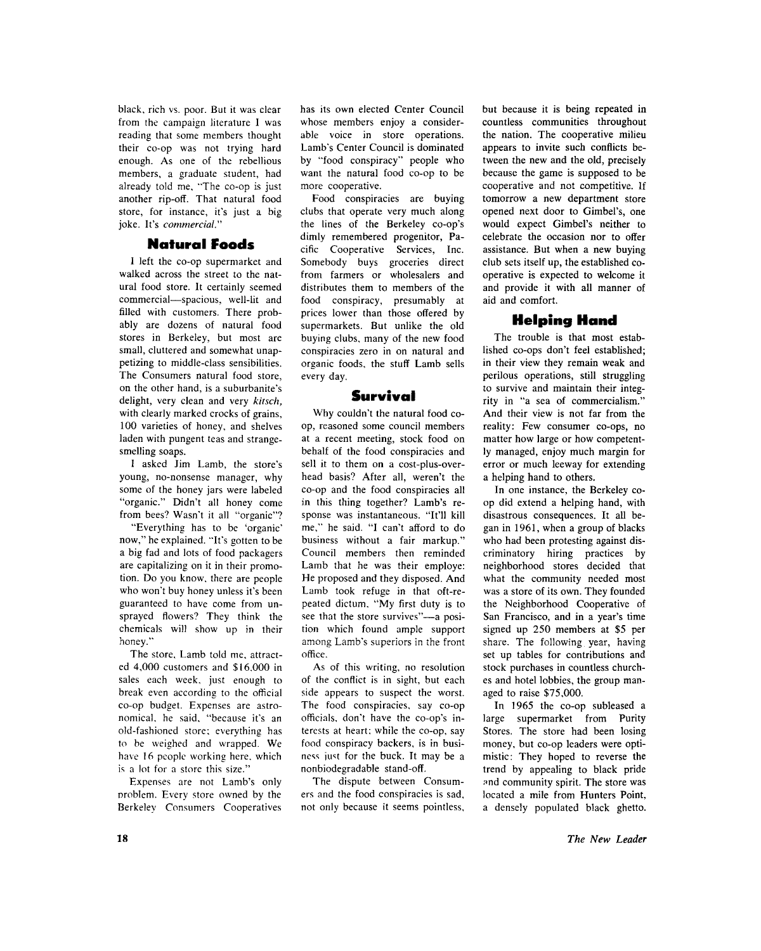black, rich vs. poor. But it was clear from the campaign literature I was reading that some members thought their co-op was not trying hard enough. As one of the rebellious members, a graduate student, had already told me, "The co-op is just another rip-off. That natural food store, for instance, it's just a big joke. It's *commercial."* 

#### Natural Foods

I left the co-op supermarket and walked across the street to the natural food store. It certainly seemed commercial—spacious, well-lit and filled with customers. There probably are dozens of natural food stores in Berkeley, but most are small, cluttered and somewhat unappetizing to middle-class sensibilities. The Consumers natural food store, on the other hand, is a suburbanite's delight, very clean and very *kitsch,*  with clearly marked crocks of grains, 100 varieties of honey, and shelves laden with pungent teas and strangesmelling soaps.

1 asked Jim Lamb, the store's young, no-nonsense manager, why some of the honey jars were labeled "organic." Didn't all honey come from bees? Wasn't it all "organic"?

"Everything has to be 'organic' now," he explained. "It's gotten to be a big fad and lots of food packagers are capitalizing on it in their promotion. Do you know, there are people who won't buy honey unless it's been guaranteed to have come from unsprayed flowers? They think the chemicals will show up in their honey."

The store. Lamb told me, attracted 4,000 customers and \$16,000 in sales each week, just enough to break even according to the official co-op budget. Expenses are astronomical, he said, "because it's an old-fashioned store; everything has to be weighed and wrapped. We have 16 people working here, which is a lot for a store this size."

Expenses are not Lamb's only problem. Every store owned by the Berkeley Consumers Cooperatives has its own elected Center Council whose members enjoy a considerable voice in store operations. Lamb's Center Council is dominated by "food conspiracy" people who want the natural food co-op to be more cooperative.

Food conspiracies are buying clubs that operate very much along the lines of the Berkeley co-op's dimly remembered progenitor, Pacific Cooperative Services, Inc. Somebody buys groceries direct from farmers or wholesalers and distributes them to members of the food conspiracy, presumably at prices lower than those offered by supermarkets. But unlike the old buying clubs, many of the new food conspiracies zero in on natural and organic foods, the stuff Lamb sells every day.

### Survival

Why couldn't the natural food coop, reasoned some council members at a recent meeting, stock food on behalf of the food conspiracies and sell it to them on a cost-plus-overhead basis? After all, weren't the co-op and the food conspiracies all in this thing together? Lamb's response was instantaneous. "It'll kill me," he said. "I can't afford to do business without a fair markup." Council members then reminded Lamb that he was their employe: He proposed and they disposed. And Lamb took refuge in that oft-repeated dictum. "My first duty is to see that the store survives"—a position which found ample support among Lamb's superiors in the front office.

As of this writing, no resolution of the conflict is in sight, but each side appears to suspect the worst. The food conspiracies, say co-op officials, don't have the co-op's interests at heart; while the co-op, say food conspiracy backers, is in business just for the buck. It may be a nonbiodegradable stand-off.

The dispute between Consumers and the food conspiracies is sad, not only because it seems pointless,

but because it is being repeated in countless communities throughout the nation. The cooperative milieu appears to invite such conflicts between the new and the old, precisely because the game is supposed to be cooperative and not competitive. If tomorrow a new department store opened next door to Gimbel's, one would expect Gimbel's neither to celebrate the occasion nor to offer assistance. But when a new buying club sets itself up, the established cooperative is expected to welcome it and provide it with all manner of aid and comfort.

## Helping Hand

The trouble is that most established co-ops don't feel established; in their view they remain weak and perilous operations, still struggling to survive and maintain their integrity in "a sea of commercialism." And their view is not far from the reality: Few consumer co-ops, no matter how large or how competently managed, enjoy much margin for error or much leeway for extending a helping hand to others.

In one instance, the Berkeley coop did extend a helping hand, with disastrous consequences. It all began in 1961, when a group of blacks who had been protesting against discriminatory hiring practices by neighborhood stores decided that what the community needed most was a store of its own. They founded the Neighborhood Cooperative of San Francisco, and in a year's time signed up 250 members at \$5 per share. The following year, having set up tables for contributions and stock purchases in countless churches and hotel lobbies, the group managed to raise \$75,000.

In 1965 the co-op subleased a large supermarket from Purity Stores. The store had been losing money, but co-op leaders were optimistic: They hoped to reverse the trend by appealing to black pride and community spirit. The store was located a mile from Hunters Point, a densely populated black ghetto.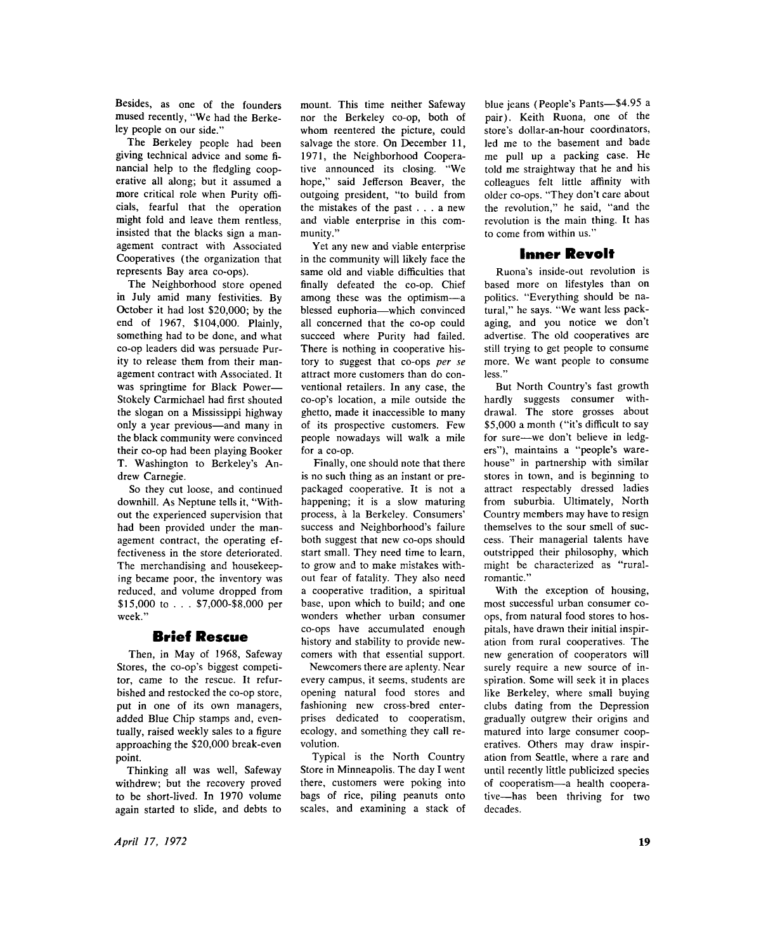Besides, as one of the founders mused recently, "We had the Berkeley people on our side."

The Berkeley people had been giving technical advice and some financial help to the fledgling cooperative all along; but it assumed a more critical role when Purity officials, fearful that the operation might fold and leave them rentless, insisted that the blacks sign a management contract with Associated Cooperatives (the organization that represents Bay area co-ops).

The Neighborhood store opened in July amid many festivities. By October it had lost \$20,000; by the end of 1967, \$104,000. Plainly, something had to be done, and what co-op leaders did was persuade Purity to release them from their management contract with Associated. It was springtime for Black Power— Stokely Carmichael had first shouted the slogan on a Mississippi highway only a year previous—and many in the black community were convinced their co-op had been playing Booker T. Washington to Berkeley's An drew Carnegie.

So they cut loose, and continued downhill. As Neptune tells it, "Without the experienced supervision that had been provided under the management contract, the operating effectiveness in the store deteriorated. The merchandising and housekeeping became poor, the inventory was reduced, and volume dropped from \$15,000 to . . . \$7,000-\$8,000 per week."

### Brief Rescue

Then, in May of 1968, Safeway Stores, the co-op's biggest competitor, came to the rescue. It refurbished and restocked the co-op store, put in one of its own managers, added Blue Chip stamps and, eventually, raised weekly sales to a figure approaching the \$20,000 break-even point.

Thinking all was well, Safeway withdrew; but the recovery proved to be short-lived. In 1970 volume again started to slide, and debts to

mount. This time neither Safeway nor the Berkeley co-op, both of whom reentered the picture, could salvage the store. On December 11, 1971, the Neighborhood Cooperative announced its closing. "We hope," said Jefferson Beaver, the outgoing president, "to build from the mistakes of the past .. . a new and viable enterprise in this community."

Yet any new and viable enterprise in the community will likely face the same old and viable difficulties that finally defeated the co-op. Chief among these was the optimism—a blessed euphoria—which convinced all concerned that the co-op could succeed where Purity had failed. There is nothing in cooperative history to suggest that co-ops *per se*  attract more customers than do conventional retailers. In any case, the co-op's location, a mile outside the ghetto, made it inaccessible to many of its prospective customers. Few people nowadays will walk a mile for a co-op.

Finally, one should note that there is no such thing as an instant or prepackaged cooperative. It is not a happening; it is a slow maturing process, a la Berkeley. Consumers' success and Neighborhood's failure both suggest that new co-ops should start small. They need time to learn, to grow and to make mistakes without fear of fatality. They also need a cooperative tradition, a spiritual base, upon which to build; and one wonders whether urban consumer co-ops have accumulated enough history and stability to provide newcomers with that essential support.

Newcomers there are aplenty. Near every campus, it seems, students are opening natural food stores and fashioning new cross-bred enterprises dedicated to cooperatism, ecology, and something they call revolution.

Typical is the North Country Store in Minneapolis. The day I went there, customers were poking into bags of rice, piling peanuts onto scales, and examining a stack of

blue jeans (People's Pants**—**\$4.95 a pair). Keith Ruona, one of the store's dollar-an-hour coordinators, led me to the basement and bade me pull up a packing case. He told me straightway that he and his colleagues felt little affinity with older co-ops. "They don't care about the revolution," he said, "and the revolution is the main thing. It has to come from within us."

### Inner Revolt

Ruona's inside-out revolution is based more on lifestyles than on politics. "Everything should be natural," he says. "We want less packaging, and you notice we don't advertise. The old cooperatives are still trying to get people to consume more. We want people to consume less."

But North Country's fast growth hardly suggests consumer withdrawal. The store grosses about \$5,000 a month ("it's difficult to say for sure—we don't believe in ledgers"), maintains a "people's warehouse" in partnership with similar stores in town, and is beginning to attract respectably dressed ladies from suburbia. Ultimately, North Country members may have to resign themselves to the sour smell of success. Their managerial talents have outstripped their philosophy, which might be characterized as "ruralromantic."

With the exception of housing, most successful urban consumer coops, from natural food stores to hospitals, have drawn their initial inspiration from rural cooperatives. The new generation of cooperators will surely require a new source of inspiration. Some will seek it in places like Berkeley, where small buying clubs dating from the Depression gradually outgrew their origins and matured into large consumer cooperatives. Others may draw inspiration from Seattle, where a rare and until recently little publicized species of cooperatism—a health cooperative—has been thriving for two decades.